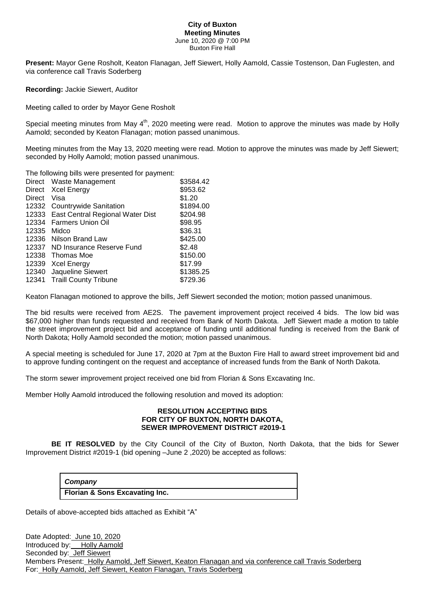#### **City of Buxton Meeting Minutes** June 10, 2020 @ 7:00 PM Buxton Fire Hall

**Present:** Mayor Gene Rosholt, Keaton Flanagan, Jeff Siewert, Holly Aamold, Cassie Tostenson, Dan Fuglesten, and via conference call Travis Soderberg

**Recording:** Jackie Siewert, Auditor

Meeting called to order by Mayor Gene Rosholt

Special meeting minutes from May 4<sup>th</sup>, 2020 meeting were read. Motion to approve the minutes was made by Holly Aamold; seconded by Keaton Flanagan; motion passed unanimous.

Meeting minutes from the May 13, 2020 meeting were read. Motion to approve the minutes was made by Jeff Siewert; seconded by Holly Aamold; motion passed unanimous.

The following bills were presented for payment:

|        | Direct Waste Management                | \$3584.42 |
|--------|----------------------------------------|-----------|
|        | Direct Xcel Energy                     | \$953.62  |
| Direct | Visa                                   | \$1.20    |
|        | 12332 Countrywide Sanitation           | \$1894.00 |
|        | 12333 East Central Regional Water Dist | \$204.98  |
|        | 12334 Farmers Union Oil                | \$98.95   |
| 12335  | Midco                                  | \$36.31   |
|        | 12336 Nilson Brand Law                 | \$425.00  |
|        | 12337 ND Insurance Reserve Fund        | \$2.48    |
| 12338  | Thomas Moe                             | \$150.00  |
|        | 12339 Xcel Energy                      | \$17.99   |
| 12340  | Jaqueline Siewert                      | \$1385.25 |
|        | 12341 Traill County Tribune            | \$729.36  |

Keaton Flanagan motioned to approve the bills, Jeff Siewert seconded the motion; motion passed unanimous.

The bid results were received from AE2S. The pavement improvement project received 4 bids. The low bid was \$67,000 higher than funds requested and received from Bank of North Dakota. Jeff Siewert made a motion to table the street improvement project bid and acceptance of funding until additional funding is received from the Bank of North Dakota; Holly Aamold seconded the motion; motion passed unanimous.

A special meeting is scheduled for June 17, 2020 at 7pm at the Buxton Fire Hall to award street improvement bid and to approve funding contingent on the request and acceptance of increased funds from the Bank of North Dakota.

The storm sewer improvement project received one bid from Florian & Sons Excavating Inc.

Member Holly Aamold introduced the following resolution and moved its adoption:

### **RESOLUTION ACCEPTING BIDS FOR CITY OF BUXTON, NORTH DAKOTA, SEWER IMPROVEMENT DISTRICT #2019-1**

 **BE IT RESOLVED** by the City Council of the City of Buxton, North Dakota, that the bids for Sewer Improvement District #2019-1 (bid opening –June 2 ,2020) be accepted as follows:

# *Company*

### **Florian & Sons Excavating Inc.**

Details of above-accepted bids attached as Exhibit "A"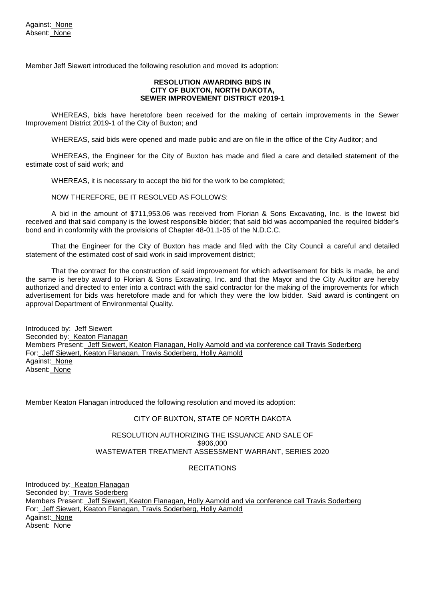Member Jeff Siewert introduced the following resolution and moved its adoption:

### **RESOLUTION AWARDING BIDS IN CITY OF BUXTON, NORTH DAKOTA, SEWER IMPROVEMENT DISTRICT #2019-1**

 WHEREAS, bids have heretofore been received for the making of certain improvements in the Sewer Improvement District 2019-1 of the City of Buxton; and

WHEREAS, said bids were opened and made public and are on file in the office of the City Auditor; and

WHEREAS, the Engineer for the City of Buxton has made and filed a care and detailed statement of the estimate cost of said work; and

WHEREAS, it is necessary to accept the bid for the work to be completed;

NOW THEREFORE, BE IT RESOLVED AS FOLLOWS:

A bid in the amount of \$711,953.06 was received from Florian & Sons Excavating, Inc. is the lowest bid received and that said company is the lowest responsible bidder; that said bid was accompanied the required bidder's bond and in conformity with the provisions of Chapter 48-01.1-05 of the N.D.C.C.

That the Engineer for the City of Buxton has made and filed with the City Council a careful and detailed statement of the estimated cost of said work in said improvement district;

That the contract for the construction of said improvement for which advertisement for bids is made, be and the same is hereby award to Florian & Sons Excavating, Inc. and that the Mayor and the City Auditor are hereby authorized and directed to enter into a contract with the said contractor for the making of the improvements for which advertisement for bids was heretofore made and for which they were the low bidder. Said award is contingent on approval Department of Environmental Quality.

Introduced by: Jeff Siewert Seconded by: Keaton Flanagan Members Present: Jeff Siewert, Keaton Flanagan, Holly Aamold and via conference call Travis Soderberg For: Jeff Siewert, Keaton Flanagan, Travis Soderberg, Holly Aamold Against: None Absent: None

Member Keaton Flanagan introduced the following resolution and moved its adoption:

### CITY OF BUXTON, STATE OF NORTH DAKOTA

#### RESOLUTION AUTHORIZING THE ISSUANCE AND SALE OF \$906,000 WASTEWATER TREATMENT ASSESSMENT WARRANT, SERIES 2020

### **RECITATIONS**

Introduced by: Keaton Flanagan Seconded by: Travis Soderberg Members Present: Jeff Siewert, Keaton Flanagan, Holly Aamold and via conference call Travis Soderberg For: Jeff Siewert, Keaton Flanagan, Travis Soderberg, Holly Aamold Against: None Absent: None